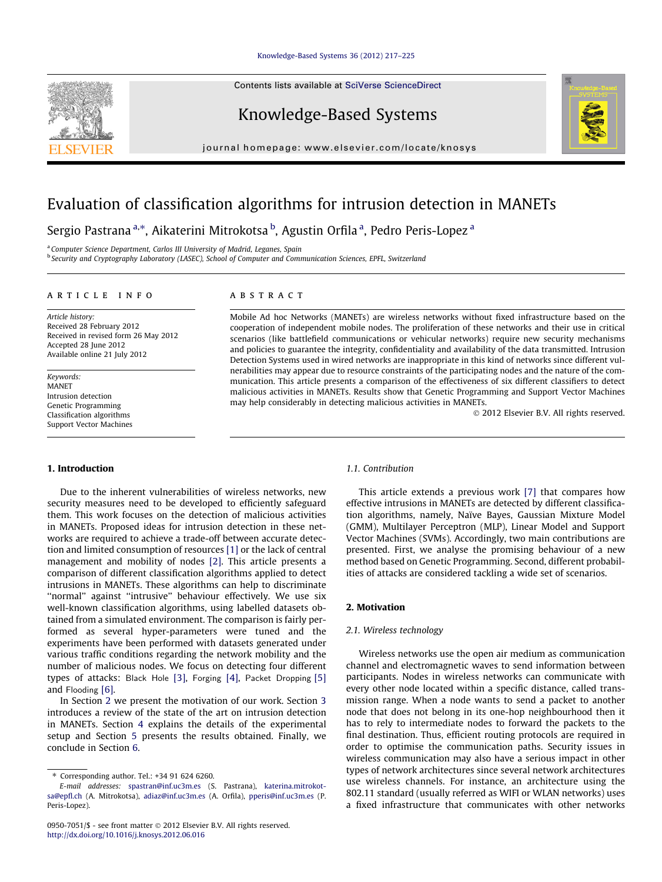## [Knowledge-Based Systems 36 \(2012\) 217–225](http://dx.doi.org/10.1016/j.knosys.2012.06.016)

Contents lists available at [SciVerse ScienceDirect](http://www.sciencedirect.com/science/journal/09507051)

# Knowledge-Based Systems

journal homepage: [www.elsevier.com/locate/knosys](http://www.elsevier.com/locate/knosys)

# Evaluation of classification algorithms for intrusion detection in MANETs

Sergio Pastrana<sup>a,</sup>\*, Aikaterini Mitrokotsa <sup>b</sup>, Agustin Orfila <sup>a</sup>, Pedro Peris-Lopez <sup>a</sup>

<sup>a</sup> Computer Science Department, Carlos III University of Madrid, Leganes, Spain

<sup>b</sup> Security and Cryptography Laboratory (LASEC), School of Computer and Communication Sciences, EPFL, Switzerland

### article info

Article history: Received 28 February 2012 Received in revised form 26 May 2012 Accepted 28 June 2012 Available online 21 July 2012

Keywords: MANET Intrusion detection Genetic Programming Classification algorithms Support Vector Machines

## 1. Introduction

Due to the inherent vulnerabilities of wireless networks, new security measures need to be developed to efficiently safeguard them. This work focuses on the detection of malicious activities in MANETs. Proposed ideas for intrusion detection in these networks are required to achieve a trade-off between accurate detection and limited consumption of resources [\[1\]](#page-7-0) or the lack of central management and mobility of nodes [\[2\]](#page-7-0). This article presents a comparison of different classification algorithms applied to detect intrusions in MANETs. These algorithms can help to discriminate ''normal'' against ''intrusive'' behaviour effectively. We use six well-known classification algorithms, using labelled datasets obtained from a simulated environment. The comparison is fairly performed as several hyper-parameters were tuned and the experiments have been performed with datasets generated under various traffic conditions regarding the network mobility and the number of malicious nodes. We focus on detecting four different types of attacks: Black Hole [\[3\]](#page-7-0), Forging [\[4\]](#page-7-0), Packet Dropping [\[5\]](#page-7-0) and Flooding [\[6\].](#page-7-0)

In Section 2 we present the motivation of our work. Section [3](#page-1-0) introduces a review of the state of the art on intrusion detection in MANETs. Section [4](#page-3-0) explains the details of the experimental setup and Section [5](#page-6-0) presents the results obtained. Finally, we conclude in Section [6.](#page-7-0)

## **ABSTRACT**

Mobile Ad hoc Networks (MANETs) are wireless networks without fixed infrastructure based on the cooperation of independent mobile nodes. The proliferation of these networks and their use in critical scenarios (like battlefield communications or vehicular networks) require new security mechanisms and policies to guarantee the integrity, confidentiality and availability of the data transmitted. Intrusion Detection Systems used in wired networks are inappropriate in this kind of networks since different vulnerabilities may appear due to resource constraints of the participating nodes and the nature of the communication. This article presents a comparison of the effectiveness of six different classifiers to detect malicious activities in MANETs. Results show that Genetic Programming and Support Vector Machines may help considerably in detecting malicious activities in MANETs.

- 2012 Elsevier B.V. All rights reserved.

#### 1.1. Contribution

This article extends a previous work [\[7\]](#page-7-0) that compares how effective intrusions in MANETs are detected by different classification algorithms, namely, Naïve Bayes, Gaussian Mixture Model (GMM), Multilayer Perceptron (MLP), Linear Model and Support Vector Machines (SVMs). Accordingly, two main contributions are presented. First, we analyse the promising behaviour of a new method based on Genetic Programming. Second, different probabilities of attacks are considered tackling a wide set of scenarios.

## 2. Motivation

## 2.1. Wireless technology

Wireless networks use the open air medium as communication channel and electromagnetic waves to send information between participants. Nodes in wireless networks can communicate with every other node located within a specific distance, called transmission range. When a node wants to send a packet to another node that does not belong in its one-hop neighbourhood then it has to rely to intermediate nodes to forward the packets to the final destination. Thus, efficient routing protocols are required in order to optimise the communication paths. Security issues in wireless communication may also have a serious impact in other types of network architectures since several network architectures use wireless channels. For instance, an architecture using the 802.11 standard (usually referred as WIFI or WLAN networks) uses a fixed infrastructure that communicates with other networks





<sup>⇑</sup> Corresponding author. Tel.: +34 91 624 6260.

E-mail addresses: [spastran@inf.uc3m.es](mailto:spastran@inf.uc3m.es) (S. Pastrana), [katerina.mitrokot](mailto:katerina.mitrokotsa@epfl.ch)[sa@epfl.ch](mailto:katerina.mitrokotsa@epfl.ch) (A. Mitrokotsa), [adiaz@inf.uc3m.es](mailto:adiaz@inf.uc3m.es) (A. Orfila), [pperis@inf.uc3m.es](mailto:pperis@inf.uc3m.es) (P. Peris-Lopez).

<sup>0950-7051/\$ -</sup> see front matter © 2012 Elsevier B.V. All rights reserved. <http://dx.doi.org/10.1016/j.knosys.2012.06.016>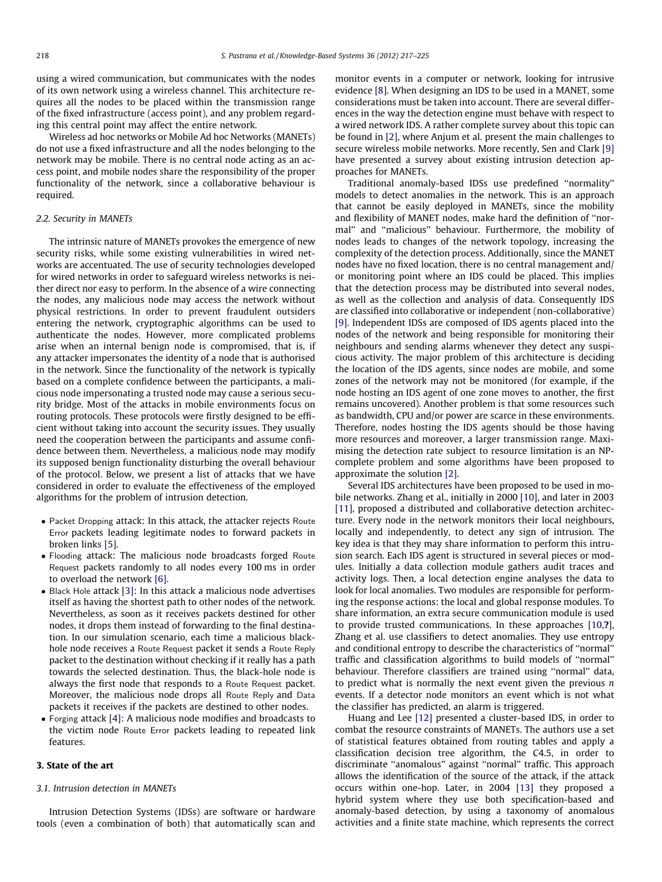<span id="page-1-0"></span>using a wired communication, but communicates with the nodes of its own network using a wireless channel. This architecture requires all the nodes to be placed within the transmission range of the fixed infrastructure (access point), and any problem regarding this central point may affect the entire network.

Wireless ad hoc networks or Mobile Ad hoc Networks (MANETs) do not use a fixed infrastructure and all the nodes belonging to the network may be mobile. There is no central node acting as an access point, and mobile nodes share the responsibility of the proper functionality of the network, since a collaborative behaviour is required.

## 2.2. Security in MANETs

The intrinsic nature of MANETs provokes the emergence of new security risks, while some existing vulnerabilities in wired networks are accentuated. The use of security technologies developed for wired networks in order to safeguard wireless networks is neither direct nor easy to perform. In the absence of a wire connecting the nodes, any malicious node may access the network without physical restrictions. In order to prevent fraudulent outsiders entering the network, cryptographic algorithms can be used to authenticate the nodes. However, more complicated problems arise when an internal benign node is compromised, that is, if any attacker impersonates the identity of a node that is authorised in the network. Since the functionality of the network is typically based on a complete confidence between the participants, a malicious node impersonating a trusted node may cause a serious security bridge. Most of the attacks in mobile environments focus on routing protocols. These protocols were firstly designed to be efficient without taking into account the security issues. They usually need the cooperation between the participants and assume confidence between them. Nevertheless, a malicious node may modify its supposed benign functionality disturbing the overall behaviour of the protocol. Below, we present a list of attacks that we have considered in order to evaluate the effectiveness of the employed algorithms for the problem of intrusion detection.

- Packet Dropping attack: In this attack, the attacker rejects Route Error packets leading legitimate nodes to forward packets in broken links [\[5\].](#page-7-0)
- Flooding attack: The malicious node broadcasts forged Route Request packets randomly to all nodes every 100 ms in order to overload the network [\[6\].](#page-7-0)
- Black Hole attack [\[3\]](#page-7-0): In this attack a malicious node advertises itself as having the shortest path to other nodes of the network. Nevertheless, as soon as it receives packets destined for other nodes, it drops them instead of forwarding to the final destination. In our simulation scenario, each time a malicious blackhole node receives a Route Request packet it sends a Route Reply packet to the destination without checking if it really has a path towards the selected destination. Thus, the black-hole node is always the first node that responds to a Route Request packet. Moreover, the malicious node drops all Route Reply and Data packets it receives if the packets are destined to other nodes.
- Forging attack [\[4\]:](#page-7-0) A malicious node modifies and broadcasts to the victim node Route Error packets leading to repeated link features.

## 3. State of the art

## 3.1. Intrusion detection in MANETs

Intrusion Detection Systems (IDSs) are software or hardware tools (even a combination of both) that automatically scan and monitor events in a computer or network, looking for intrusive evidence [\[8\]](#page-7-0). When designing an IDS to be used in a MANET, some considerations must be taken into account. There are several differences in the way the detection engine must behave with respect to a wired network IDS. A rather complete survey about this topic can be found in [\[2\],](#page-7-0) where Anjum et al. present the main challenges to secure wireless mobile networks. More recently, Sen and Clark [\[9\]](#page-7-0) have presented a survey about existing intrusion detection approaches for MANETs.

Traditional anomaly-based IDSs use predefined ''normality'' models to detect anomalies in the network. This is an approach that cannot be easily deployed in MANETs, since the mobility and flexibility of MANET nodes, make hard the definition of ''normal'' and ''malicious'' behaviour. Furthermore, the mobility of nodes leads to changes of the network topology, increasing the complexity of the detection process. Additionally, since the MANET nodes have no fixed location, there is no central management and/ or monitoring point where an IDS could be placed. This implies that the detection process may be distributed into several nodes, as well as the collection and analysis of data. Consequently IDS are classified into collaborative or independent (non-collaborative) [\[9\]](#page-7-0). Independent IDSs are composed of IDS agents placed into the nodes of the network and being responsible for monitoring their neighbours and sending alarms whenever they detect any suspicious activity. The major problem of this architecture is deciding the location of the IDS agents, since nodes are mobile, and some zones of the network may not be monitored (for example, if the node hosting an IDS agent of one zone moves to another, the first remains uncovered). Another problem is that some resources such as bandwidth, CPU and/or power are scarce in these environments. Therefore, nodes hosting the IDS agents should be those having more resources and moreover, a larger transmission range. Maximising the detection rate subject to resource limitation is an NPcomplete problem and some algorithms have been proposed to approximate the solution [\[2\]](#page-7-0).

Several IDS architectures have been proposed to be used in mobile networks. Zhang et al., initially in 2000 [\[10\],](#page-7-0) and later in 2003 [\[11\]](#page-7-0), proposed a distributed and collaborative detection architecture. Every node in the network monitors their local neighbours, locally and independently, to detect any sign of intrusion. The key idea is that they may share information to perform this intrusion search. Each IDS agent is structured in several pieces or modules. Initially a data collection module gathers audit traces and activity logs. Then, a local detection engine analyses the data to look for local anomalies. Two modules are responsible for performing the response actions: the local and global response modules. To share information, an extra secure communication module is used to provide trusted communications. In these approaches [\[10,](#page-7-0)?], Zhang et al. use classifiers to detect anomalies. They use entropy and conditional entropy to describe the characteristics of ''normal'' traffic and classification algorithms to build models of ''normal'' behaviour. Therefore classifiers are trained using ''normal'' data, to predict what is normally the next event given the previous  $n$ events. If a detector node monitors an event which is not what the classifier has predicted, an alarm is triggered.

Huang and Lee [\[12\]](#page-7-0) presented a cluster-based IDS, in order to combat the resource constraints of MANETs. The authors use a set of statistical features obtained from routing tables and apply a classification decision tree algorithm, the C4.5, in order to discriminate ''anomalous'' against ''normal'' traffic. This approach allows the identification of the source of the attack, if the attack occurs within one-hop. Later, in 2004 [\[13\]](#page-7-0) they proposed a hybrid system where they use both specification-based and anomaly-based detection, by using a taxonomy of anomalous activities and a finite state machine, which represents the correct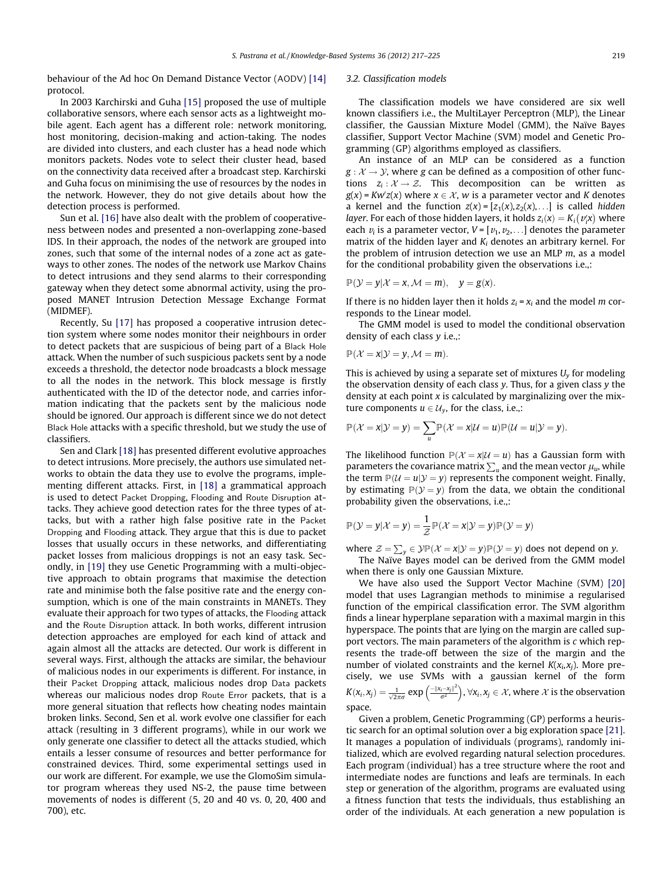behaviour of the Ad hoc On Demand Distance Vector (AODV) [\[14\]](#page-7-0) protocol.

In 2003 Karchirski and Guha [\[15\]](#page-7-0) proposed the use of multiple collaborative sensors, where each sensor acts as a lightweight mobile agent. Each agent has a different role: network monitoring, host monitoring, decision-making and action-taking. The nodes are divided into clusters, and each cluster has a head node which monitors packets. Nodes vote to select their cluster head, based on the connectivity data received after a broadcast step. Karchirski and Guha focus on minimising the use of resources by the nodes in the network. However, they do not give details about how the detection process is performed.

Sun et al. [\[16\]](#page-7-0) have also dealt with the problem of cooperativeness between nodes and presented a non-overlapping zone-based IDS. In their approach, the nodes of the network are grouped into zones, such that some of the internal nodes of a zone act as gateways to other zones. The nodes of the network use Markov Chains to detect intrusions and they send alarms to their corresponding gateway when they detect some abnormal activity, using the proposed MANET Intrusion Detection Message Exchange Format (MIDMEF).

Recently, Su [\[17\]](#page-7-0) has proposed a cooperative intrusion detection system where some nodes monitor their neighbours in order to detect packets that are suspicious of being part of a Black Hole attack. When the number of such suspicious packets sent by a node exceeds a threshold, the detector node broadcasts a block message to all the nodes in the network. This block message is firstly authenticated with the ID of the detector node, and carries information indicating that the packets sent by the malicious node should be ignored. Our approach is different since we do not detect Black Hole attacks with a specific threshold, but we study the use of classifiers.

Sen and Clark [\[18\]](#page-7-0) has presented different evolutive approaches to detect intrusions. More precisely, the authors use simulated networks to obtain the data they use to evolve the programs, implementing different attacks. First, in [\[18\]](#page-7-0) a grammatical approach is used to detect Packet Dropping, Flooding and Route Disruption attacks. They achieve good detection rates for the three types of attacks, but with a rather high false positive rate in the Packet Dropping and Flooding attack. They argue that this is due to packet losses that usually occurs in these networks, and differentiating packet losses from malicious droppings is not an easy task. Secondly, in [\[19\]](#page-7-0) they use Genetic Programming with a multi-objective approach to obtain programs that maximise the detection rate and minimise both the false positive rate and the energy consumption, which is one of the main constraints in MANETs. They evaluate their approach for two types of attacks, the Flooding attack and the Route Disruption attack. In both works, different intrusion detection approaches are employed for each kind of attack and again almost all the attacks are detected. Our work is different in several ways. First, although the attacks are similar, the behaviour of malicious nodes in our experiments is different. For instance, in their Packet Dropping attack, malicious nodes drop Data packets whereas our malicious nodes drop Route Error packets, that is a more general situation that reflects how cheating nodes maintain broken links. Second, Sen et al. work evolve one classifier for each attack (resulting in 3 different programs), while in our work we only generate one classifier to detect all the attacks studied, which entails a lesser consume of resources and better performance for constrained devices. Third, some experimental settings used in our work are different. For example, we use the GlomoSim simulator program whereas they used NS-2, the pause time between movements of nodes is different (5, 20 and 40 vs. 0, 20, 400 and 700), etc.

#### 3.2. Classification models

The classification models we have considered are six well known classifiers i.e., the MultiLayer Perceptron (MLP), the Linear classifier, the Gaussian Mixture Model (GMM), the Naïve Bayes classifier, Support Vector Machine (SVM) model and Genetic Programming (GP) algorithms employed as classifiers.

An instance of an MLP can be considered as a function  $g: \mathcal{X} \rightarrow \mathcal{Y}$ , where g can be defined as a composition of other functions  $z_i : \mathcal{X} \to \mathcal{Z}$ . This decomposition can be written as g(x) = Kw'z(x) where  $x \in \mathcal{X}$ , w is a parameter vector and K denotes a kernel and the function  $z(x) = [z_1(x), z_2(x), \ldots]$  is called *hidden* layer. For each of those hidden layers, it holds  $z_i(x) = K_i(v_i^x)$  where each  $v_i$  is a parameter vector,  $V = [v_1, v_2, \dots]$  denotes the parameter matrix of the hidden layer and  $K_i$  denotes an arbitrary kernel. For the problem of intrusion detection we use an MLP  $m$ , as a model for the conditional probability given the observations i.e.,:

$$
\mathbb{P}(\mathcal{Y} = y | \mathcal{X} = x, \mathcal{M} = m), \quad y = g(x).
$$

If there is no hidden layer then it holds  $z_i = x_i$  and the model m corresponds to the Linear model.

The GMM model is used to model the conditional observation density of each class y i.e.,:

$$
\mathbb{P}(\mathcal{X} = x | \mathcal{Y} = y, \mathcal{M} = m).
$$

This is achieved by using a separate set of mixtures  $U_{\nu}$  for modeling the observation density of each class  $y$ . Thus, for a given class  $y$  the density at each point  $x$  is calculated by marginalizing over the mixture components  $u \in \mathcal{U}_v$ , for the class, i.e.,:

$$
\mathbb{P}(\mathcal{X} = x | \mathcal{Y} = y) = \sum_{u} \mathbb{P}(\mathcal{X} = x | \mathcal{U} = u) \mathbb{P}(\mathcal{U} = u | \mathcal{Y} = y).
$$

The likelihood function  $P(\mathcal{X} = x | \mathcal{U} = u)$  has a Gaussian form with parameters the covariance matrix  $\sum_u$  and the mean vector  $\mu_u$ , while the term  $\mathbb{P}(\mathcal{U} = u | \mathcal{Y} = y)$  represents the component weight. Finally, by estimating  $P(Y = y)$  from the data, we obtain the conditional probability given the observations, i.e.,:

$$
\mathbb{P}(\mathcal{Y} = y | \mathcal{X} = y) = \frac{1}{\mathcal{Z}} \mathbb{P}(\mathcal{X} = x | \mathcal{Y} = y) \mathbb{P}(\mathcal{Y} = y)
$$

where  $\mathcal{Z} = \sum_{y} \in \mathcal{Y} \mathbb{P}(\mathcal{X} = x | \mathcal{Y} = y) \mathbb{P}(\mathcal{Y} = y)$  does not depend on y.

The Naïve Bayes model can be derived from the GMM model when there is only one Gaussian Mixture.

We have also used the Support Vector Machine (SVM) [\[20\]](#page-7-0) model that uses Lagrangian methods to minimise a regularised function of the empirical classification error. The SVM algorithm finds a linear hyperplane separation with a maximal margin in this hyperspace. The points that are lying on the margin are called support vectors. The main parameters of the algorithm is c which represents the trade-off between the size of the margin and the number of violated constraints and the kernel  $K(x_i,x_i)$ . More precisely, we use SVMs with a gaussian kernel of the form  $K(\mathsf{x}_i, \mathsf{x}_j) = \frac{1}{\sqrt{2\pi}\sigma} \exp{\left(\frac{-\|\mathsf{x}_i - \mathsf{x}_j\|^2}{\sigma^2}\right)}, \forall \mathsf{x}_i, \mathsf{x}_j \in \mathcal{X}$ , where  $\mathcal{X}$  is the observation space.

Given a problem, Genetic Programming (GP) performs a heuristic search for an optimal solution over a big exploration space [\[21\].](#page-7-0) It manages a population of individuals (programs), randomly initialized, which are evolved regarding natural selection procedures. Each program (individual) has a tree structure where the root and intermediate nodes are functions and leafs are terminals. In each step or generation of the algorithm, programs are evaluated using a fitness function that tests the individuals, thus establishing an order of the individuals. At each generation a new population is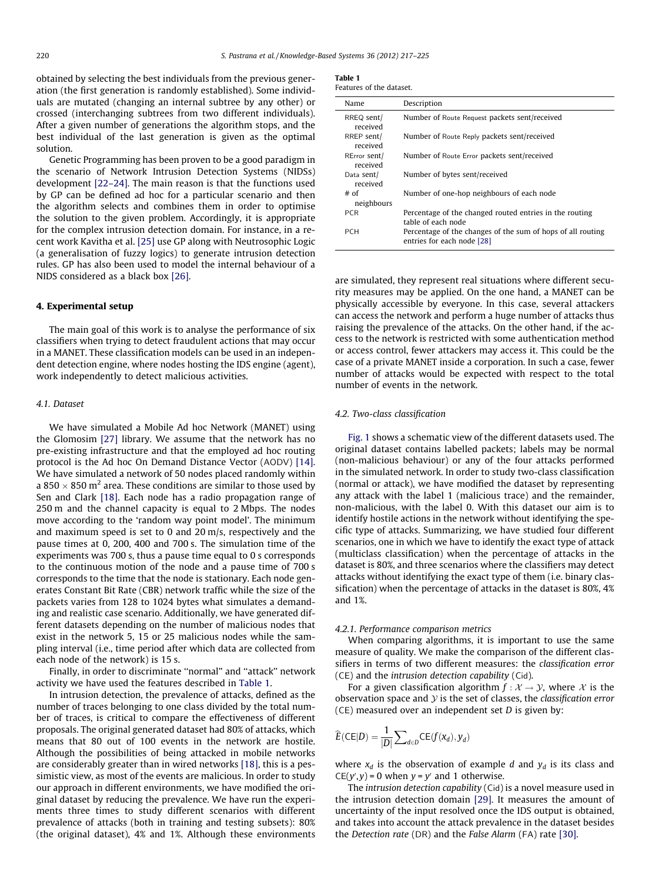<span id="page-3-0"></span>obtained by selecting the best individuals from the previous generation (the first generation is randomly established). Some individuals are mutated (changing an internal subtree by any other) or crossed (interchanging subtrees from two different individuals). After a given number of generations the algorithm stops, and the best individual of the last generation is given as the optimal solution.

Genetic Programming has been proven to be a good paradigm in the scenario of Network Intrusion Detection Systems (NIDSs) development [\[22–24\].](#page-7-0) The main reason is that the functions used by GP can be defined ad hoc for a particular scenario and then the algorithm selects and combines them in order to optimise the solution to the given problem. Accordingly, it is appropriate for the complex intrusion detection domain. For instance, in a recent work Kavitha et al. [\[25\]](#page-7-0) use GP along with Neutrosophic Logic (a generalisation of fuzzy logics) to generate intrusion detection rules. GP has also been used to model the internal behaviour of a NIDS considered as a black box [\[26\].](#page-7-0)

#### 4. Experimental setup

The main goal of this work is to analyse the performance of six classifiers when trying to detect fraudulent actions that may occur in a MANET. These classification models can be used in an independent detection engine, where nodes hosting the IDS engine (agent), work independently to detect malicious activities.

#### 4.1. Dataset

We have simulated a Mobile Ad hoc Network (MANET) using the Glomosim [\[27\]](#page-7-0) library. We assume that the network has no pre-existing infrastructure and that the employed ad hoc routing protocol is the Ad hoc On Demand Distance Vector (AODV) [\[14\].](#page-7-0) We have simulated a network of 50 nodes placed randomly within a 850  $\times$  850 m<sup>2</sup> area. These conditions are similar to those used by Sen and Clark [\[18\].](#page-7-0) Each node has a radio propagation range of 250 m and the channel capacity is equal to 2 Mbps. The nodes move according to the 'random way point model'. The minimum and maximum speed is set to 0 and 20 m/s, respectively and the pause times at 0, 200, 400 and 700 s. The simulation time of the experiments was 700 s, thus a pause time equal to 0 s corresponds to the continuous motion of the node and a pause time of 700 s corresponds to the time that the node is stationary. Each node generates Constant Bit Rate (CBR) network traffic while the size of the packets varies from 128 to 1024 bytes what simulates a demanding and realistic case scenario. Additionally, we have generated different datasets depending on the number of malicious nodes that exist in the network 5, 15 or 25 malicious nodes while the sampling interval (i.e., time period after which data are collected from each node of the network) is 15 s.

Finally, in order to discriminate ''normal'' and ''attack'' network activity we have used the features described in Table 1.

In intrusion detection, the prevalence of attacks, defined as the number of traces belonging to one class divided by the total number of traces, is critical to compare the effectiveness of different proposals. The original generated dataset had 80% of attacks, which means that 80 out of 100 events in the network are hostile. Although the possibilities of being attacked in mobile networks are considerably greater than in wired networks [\[18\]](#page-7-0), this is a pessimistic view, as most of the events are malicious. In order to study our approach in different environments, we have modified the original dataset by reducing the prevalence. We have run the experiments three times to study different scenarios with different prevalence of attacks (both in training and testing subsets): 80% (the original dataset), 4% and 1%. Although these environments

| Table |  |  |
|-------|--|--|
|       |  |  |

| Features of the dataset. |                    |  |  |
|--------------------------|--------------------|--|--|
| Name                     | Description        |  |  |
| $DDE \cap \text{cont}$   | Number of Days Dag |  |  |

| RREQ sent/<br>received   | Number of Route Request packets sent/received                                             |
|--------------------------|-------------------------------------------------------------------------------------------|
| RREP sent/<br>received   | Number of Route Reply packets sent/received                                               |
| RError sent/<br>received | Number of Route Error packets sent/received                                               |
| Data sent/<br>received   | Number of bytes sent/received                                                             |
| $#$ of<br>neighbours     | Number of one-hop neighbours of each node                                                 |
| <b>PCR</b>               | Percentage of the changed routed entries in the routing<br>table of each node             |
| <b>PCH</b>               | Percentage of the changes of the sum of hops of all routing<br>entries for each node [28] |

are simulated, they represent real situations where different security measures may be applied. On the one hand, a MANET can be physically accessible by everyone. In this case, several attackers can access the network and perform a huge number of attacks thus raising the prevalence of the attacks. On the other hand, if the access to the network is restricted with some authentication method or access control, fewer attackers may access it. This could be the case of a private MANET inside a corporation. In such a case, fewer number of attacks would be expected with respect to the total number of events in the network.

#### 4.2. Two-class classification

[Fig. 1](#page-5-0) shows a schematic view of the different datasets used. The original dataset contains labelled packets; labels may be normal (non-malicious behaviour) or any of the four attacks performed in the simulated network. In order to study two-class classification (normal or attack), we have modified the dataset by representing any attack with the label 1 (malicious trace) and the remainder, non-malicious, with the label 0. With this dataset our aim is to identify hostile actions in the network without identifying the specific type of attacks. Summarizing, we have studied four different scenarios, one in which we have to identify the exact type of attack (multiclass classification) when the percentage of attacks in the dataset is 80%, and three scenarios where the classifiers may detect attacks without identifying the exact type of them (i.e. binary classification) when the percentage of attacks in the dataset is 80%, 4% and 1%.

#### 4.2.1. Performance comparison metrics

When comparing algorithms, it is important to use the same measure of quality. We make the comparison of the different classifiers in terms of two different measures: the classification error (CE) and the intrusion detection capability (Cid).

For a given classification algorithm  $f : \mathcal{X} \to \mathcal{Y}$ , where  $\mathcal{X}$  is the observation space and  $\mathcal Y$  is the set of classes, the classification error  $(CE)$  measured over an independent set  $D$  is given by:

$$
\widehat{E}(\mathsf{CE}|D) = \frac{1}{|D|} \sum_{d \in D} \mathsf{CE}(f(x_d), y_d)
$$

where  $x_d$  is the observation of example d and  $y_d$  is its class and  $CE(y', y) = 0$  when  $y = y'$  and 1 otherwise.

The intrusion detection capability (Cid) is a novel measure used in the intrusion detection domain [\[29\]](#page-8-0). It measures the amount of uncertainty of the input resolved once the IDS output is obtained, and takes into account the attack prevalence in the dataset besides the Detection rate (DR) and the False Alarm (FA) rate [\[30\].](#page-8-0)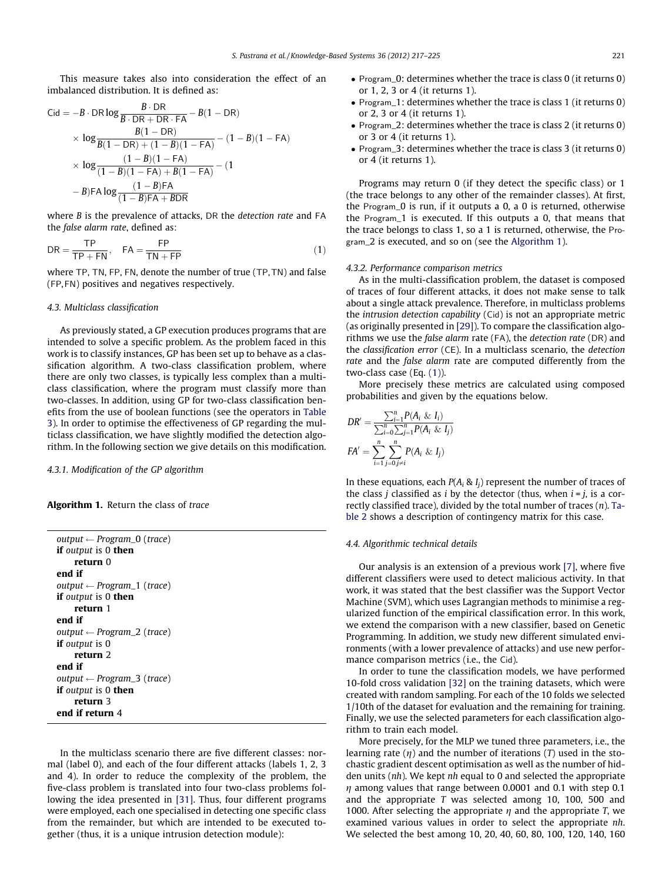<span id="page-4-0"></span>This measure takes also into consideration the effect of an imbalanced distribution. It is defined as:

Cid = 
$$
-B \cdot DR \log \frac{B \cdot DR}{B \cdot DR + DR \cdot FA} - B(1 - DR)
$$
  
\n $\times \log \frac{B(1 - DR)}{B(1 - DR) + (1 - B)(1 - FA)} - (1 - B)(1 - FA)$   
\n $\times \log \frac{(1 - B)(1 - FA)}{(1 - B)(1 - FA) + B(1 - FA)} - (1 - B)FA \log \frac{(1 - B)FA}{(1 - B)FA + BDR}$ 

where *B* is the prevalence of attacks, DR the *detection rate* and FA the false alarm rate, defined as:

$$
DR = \frac{TP}{TP + FN}, \quad FA = \frac{FP}{TN + FP}
$$
 (1)

where TP, TN, FP, FN, denote the number of true (TP,TN) and false (FP,FN) positives and negatives respectively.

### 4.3. Multiclass classification

As previously stated, a GP execution produces programs that are intended to solve a specific problem. As the problem faced in this work is to classify instances, GP has been set up to behave as a classification algorithm. A two-class classification problem, where there are only two classes, is typically less complex than a multiclass classification, where the program must classify more than two-classes. In addition, using GP for two-class classification benefits from the use of boolean functions (see the operators in [Table](#page-5-0) [3](#page-5-0)). In order to optimise the effectiveness of GP regarding the multiclass classification, we have slightly modified the detection algorithm. In the following section we give details on this modification.

4.3.1. Modification of the GP algorithm

## Algorithm 1. Return the class of trace

| output $\leftarrow$ Program $\left($ (trace) |
|----------------------------------------------|
| <b>if</b> output is 0 <b>then</b>            |
| return 0                                     |
| end if                                       |
| output $\leftarrow$ Program_1 (trace)        |
| <b>if</b> output is 0 <b>then</b>            |
| return 1                                     |
| end if                                       |
| output $\leftarrow$ Program_2 (trace)        |
| <b>if</b> output is 0                        |
| return 2                                     |
| end if                                       |
| output $\leftarrow$ Program_3 (trace)        |
| <b>if</b> output is 0 <b>then</b>            |
| return 3                                     |
| end if return 4                              |

In the multiclass scenario there are five different classes: normal (label 0), and each of the four different attacks (labels 1, 2, 3 and 4). In order to reduce the complexity of the problem, the five-class problem is translated into four two-class problems following the idea presented in [\[31\].](#page-8-0) Thus, four different programs were employed, each one specialised in detecting one specific class from the remainder, but which are intended to be executed together (thus, it is a unique intrusion detection module):

- Program\_0: determines whether the trace is class 0 (it returns 0) or 1, 2, 3 or 4 (it returns 1).
- Program\_1: determines whether the trace is class 1 (it returns 0) or 2, 3 or 4 (it returns 1).
- Program\_2: determines whether the trace is class 2 (it returns 0) or 3 or 4 (it returns 1).
- Program\_3: determines whether the trace is class 3 (it returns 0) or 4 (it returns 1).

Programs may return 0 (if they detect the specific class) or 1 (the trace belongs to any other of the remainder classes). At first, the Program\_0 is run, if it outputs a 0, a 0 is returned, otherwise the Program\_1 is executed. If this outputs a 0, that means that the trace belongs to class 1, so a 1 is returned, otherwise, the Program\_2 is executed, and so on (see the Algorithm 1).

#### 4.3.2. Performance comparison metrics

As in the multi-classification problem, the dataset is composed of traces of four different attacks, it does not make sense to talk about a single attack prevalence. Therefore, in multiclass problems the intrusion detection capability (Cid) is not an appropriate metric (as originally presented in [\[29\]](#page-8-0)). To compare the classification algorithms we use the false alarm rate (FA), the detection rate (DR) and the classification error (CE). In a multiclass scenario, the detection rate and the false alarm rate are computed differently from the two-class case (Eq. (1)).

More precisely these metrics are calculated using composed probabilities and given by the equations below.

$$
DR' = \frac{\sum_{i=1}^{n} P(A_i \& I_i)}{\sum_{i=0}^{n} \sum_{j=1}^{n} P(A_i \& I_j)}
$$

$$
FA' = \sum_{i=1}^{n} \sum_{j=0}^{n} P(A_i \& I_j)
$$

In these equations, each  $P(A_i \& I_i)$  represent the number of traces of the class *j* classified as *i* by the detector (thus, when  $i = j$ , is a correctly classified trace), divided by the total number of traces  $(n)$ . [Ta](#page-5-0)[ble 2](#page-5-0) shows a description of contingency matrix for this case.

#### 4.4. Algorithmic technical details

Our analysis is an extension of a previous work [\[7\],](#page-7-0) where five different classifiers were used to detect malicious activity. In that work, it was stated that the best classifier was the Support Vector Machine (SVM), which uses Lagrangian methods to minimise a regularized function of the empirical classification error. In this work, we extend the comparison with a new classifier, based on Genetic Programming. In addition, we study new different simulated environments (with a lower prevalence of attacks) and use new performance comparison metrics (i.e., the Cid).

In order to tune the classification models, we have performed 10-fold cross validation [\[32\]](#page-8-0) on the training datasets, which were created with random sampling. For each of the 10 folds we selected 1/10th of the dataset for evaluation and the remaining for training. Finally, we use the selected parameters for each classification algorithm to train each model.

More precisely, for the MLP we tuned three parameters, i.e., the learning rate  $(\eta)$  and the number of iterations (T) used in the stochastic gradient descent optimisation as well as the number of hidden units (nh). We kept nh equal to 0 and selected the appropriate  $\eta$  among values that range between 0.0001 and 0.1 with step 0.1 and the appropriate T was selected among 10, 100, 500 and 1000. After selecting the appropriate  $\eta$  and the appropriate T, we examined various values in order to select the appropriate nh. We selected the best among 10, 20, 40, 60, 80, 100, 120, 140, 160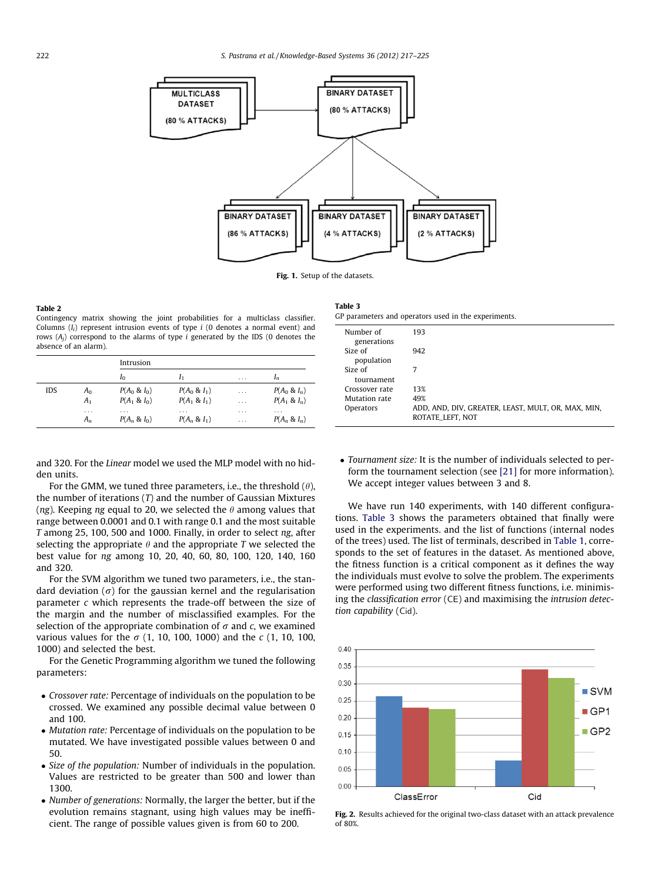<span id="page-5-0"></span>

Fig. 1. Setup of the datasets.

#### Table 2

Contingency matrix showing the joint probabilities for a multiclass classifier. Columns  $(I_i)$  represent intrusion events of type i (0 denotes a normal event) and rows  $(A_i)$  correspond to the alarms of type i generated by the IDS (0 denotes the absence of an alarm).

|     |                   | Intrusion                   |                             |                      |                      |
|-----|-------------------|-----------------------------|-----------------------------|----------------------|----------------------|
|     |                   | $I_0$                       |                             | $\cdots$             | $I_n$                |
| IDS | A <sub>0</sub>    | $P(A_0 \& I_0)$             | $P(A_0 \& I_1)$             | $\cdots$             | $P(A_0 \& I_n)$      |
|     | A <sub>1</sub>    | $P(A_1 \& I_0)$             | $P(A_1 \& I_1)$             | $\cdots$             | $P(A_1 \& I_n)$      |
|     | $\cdots$<br>$A_n$ | $\cdots$<br>$P(A_n \& I_0)$ | $\cdots$<br>$P(A_n \& I_1)$ | $\cdots$<br>$\cdots$ | .<br>$P(A_n \& I_n)$ |

and 320. For the Linear model we used the MLP model with no hidden units.

For the GMM, we tuned three parameters, i.e., the threshold  $(\theta)$ , the number of iterations  $(T)$  and the number of Gaussian Mixtures (ng). Keeping ng equal to 20, we selected the  $\theta$  among values that range between 0.0001 and 0.1 with range 0.1 and the most suitable T among 25, 100, 500 and 1000. Finally, in order to select ng, after selecting the appropriate  $\theta$  and the appropriate T we selected the best value for ng among 10, 20, 40, 60, 80, 100, 120, 140, 160 and 320.

For the SVM algorithm we tuned two parameters, i.e., the standard deviation ( $\sigma$ ) for the gaussian kernel and the regularisation parameter c which represents the trade-off between the size of the margin and the number of misclassified examples. For the selection of the appropriate combination of  $\sigma$  and c, we examined various values for the  $\sigma$  (1, 10, 100, 1000) and the c (1, 10, 100, 1000) and selected the best.

For the Genetic Programming algorithm we tuned the following parameters:

- Crossover rate: Percentage of individuals on the population to be crossed. We examined any possible decimal value between 0 and 100.
- *Mutation rate: Percentage of individuals on the population to be* mutated. We have investigated possible values between 0 and 50.
- Size of the population: Number of individuals in the population. Values are restricted to be greater than 500 and lower than 1300.
- Number of generations: Normally, the larger the better, but if the evolution remains stagnant, using high values may be inefficient. The range of possible values given is from 60 to 200.

| Table 3                                              |
|------------------------------------------------------|
| GP parameters and operators used in the experiments. |

| Number of<br>generations | 193                                                                    |
|--------------------------|------------------------------------------------------------------------|
| Size of<br>population    | 942                                                                    |
| Size of<br>tournament    | 7                                                                      |
| Crossover rate           | 13%                                                                    |
| Mutation rate            | 49%                                                                    |
| Operators                | ADD, AND, DIV, GREATER, LEAST, MULT, OR, MAX, MIN,<br>ROTATE_LEFT, NOT |

• Tournament size: It is the number of individuals selected to perform the tournament selection (see [\[21\]](#page-7-0) for more information). We accept integer values between 3 and 8.

We have run 140 experiments, with 140 different configurations. Table 3 shows the parameters obtained that finally were used in the experiments. and the list of functions (internal nodes of the trees) used. The list of terminals, described in [Table 1,](#page-3-0) corresponds to the set of features in the dataset. As mentioned above, the fitness function is a critical component as it defines the way the individuals must evolve to solve the problem. The experiments were performed using two different fitness functions, i.e. minimising the classification error (CE) and maximising the intrusion detection capability (Cid).



Fig. 2. Results achieved for the original two-class dataset with an attack prevalence  $0.680%$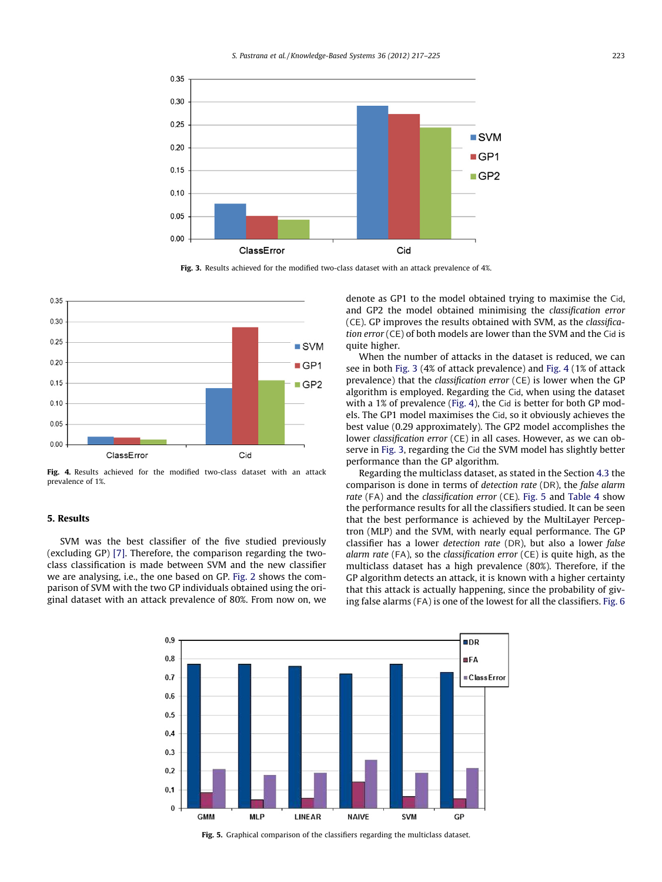<span id="page-6-0"></span>

Fig. 3. Results achieved for the modified two-class dataset with an attack prevalence of 4%.



Fig. 4. Results achieved for the modified two-class dataset with an attack prevalence of 1%.

## 5. Results

SVM was the best classifier of the five studied previously (excluding GP) [\[7\]](#page-7-0). Therefore, the comparison regarding the twoclass classification is made between SVM and the new classifier we are analysing, i.e., the one based on GP. [Fig. 2](#page-5-0) shows the comparison of SVM with the two GP individuals obtained using the original dataset with an attack prevalence of 80%. From now on, we denote as GP1 to the model obtained trying to maximise the Cid, and GP2 the model obtained minimising the classification error (CE). GP improves the results obtained with SVM, as the classification error (CE) of both models are lower than the SVM and the Cid is quite higher.

When the number of attacks in the dataset is reduced, we can see in both Fig. 3 (4% of attack prevalence) and Fig. 4 (1% of attack prevalence) that the classification error (CE) is lower when the GP algorithm is employed. Regarding the Cid, when using the dataset with a 1% of prevalence (Fig. 4), the Cid is better for both GP models. The GP1 model maximises the Cid, so it obviously achieves the best value (0.29 approximately). The GP2 model accomplishes the lower classification error (CE) in all cases. However, as we can observe in Fig. 3, regarding the Cid the SVM model has slightly better performance than the GP algorithm.

Regarding the multiclass dataset, as stated in the Section [4.3](#page-4-0) the comparison is done in terms of detection rate (DR), the false alarm rate (FA) and the classification error (CE). Fig. 5 and [Table 4](#page-7-0) show the performance results for all the classifiers studied. It can be seen that the best performance is achieved by the MultiLayer Perceptron (MLP) and the SVM, with nearly equal performance. The GP classifier has a lower detection rate (DR), but also a lower false alarm rate (FA), so the classification error (CE) is quite high, as the multiclass dataset has a high prevalence (80%). Therefore, if the GP algorithm detects an attack, it is known with a higher certainty that this attack is actually happening, since the probability of giving false alarms (FA) is one of the lowest for all the classifiers. [Fig. 6](#page-7-0)



Fig. 5. Graphical comparison of the classifiers regarding the multiclass dataset.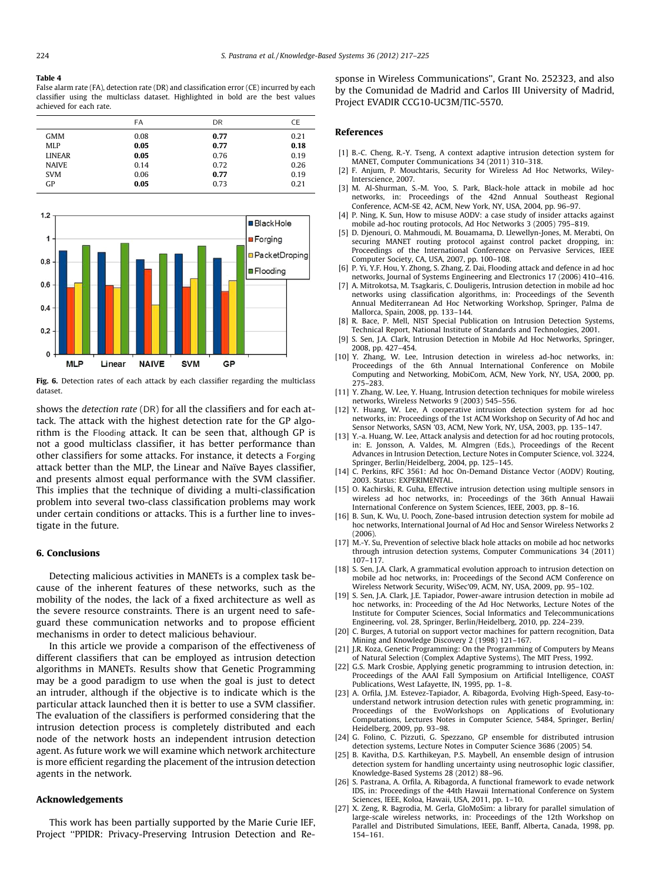#### <span id="page-7-0"></span>Table 4

False alarm rate (FA), detection rate (DR) and classification error (CE) incurred by each classifier using the multiclass dataset. Highlighted in bold are the best values achieved for each rate.

|               | FA   | DR   | СE   |
|---------------|------|------|------|
| <b>GMM</b>    | 0.08 | 0.77 | 0.21 |
| MLP           | 0.05 | 0.77 | 0.18 |
| <b>LINEAR</b> | 0.05 | 0.76 | 0.19 |
| <b>NAIVE</b>  | 0.14 | 0.72 | 0.26 |
| <b>SVM</b>    | 0.06 | 0.77 | 0.19 |
| GP            | 0.05 | 0.73 | 0.21 |



Fig. 6. Detection rates of each attack by each classifier regarding the multiclass dataset.

shows the detection rate (DR) for all the classifiers and for each attack. The attack with the highest detection rate for the GP algorithm is the Flooding attack. It can be seen that, although GP is not a good multiclass classifier, it has better performance than other classifiers for some attacks. For instance, it detects a Forging attack better than the MLP, the Linear and Naïve Bayes classifier, and presents almost equal performance with the SVM classifier. This implies that the technique of dividing a multi-classification problem into several two-class classification problems may work under certain conditions or attacks. This is a further line to investigate in the future.

#### 6. Conclusions

Detecting malicious activities in MANETs is a complex task because of the inherent features of these networks, such as the mobility of the nodes, the lack of a fixed architecture as well as the severe resource constraints. There is an urgent need to safeguard these communication networks and to propose efficient mechanisms in order to detect malicious behaviour.

In this article we provide a comparison of the effectiveness of different classifiers that can be employed as intrusion detection algorithms in MANETs. Results show that Genetic Programming may be a good paradigm to use when the goal is just to detect an intruder, although if the objective is to indicate which is the particular attack launched then it is better to use a SVM classifier. The evaluation of the classifiers is performed considering that the intrusion detection process is completely distributed and each node of the network hosts an independent intrusion detection agent. As future work we will examine which network architecture is more efficient regarding the placement of the intrusion detection agents in the network.

## Acknowledgements

This work has been partially supported by the Marie Curie IEF, Project ''PPIDR: Privacy-Preserving Intrusion Detection and Response in Wireless Communications'', Grant No. 252323, and also by the Comunidad de Madrid and Carlos III University of Madrid, Project EVADIR CCG10-UC3M/TIC-5570.

#### References

- [1] B.-C. Cheng, R.-Y. Tseng, A context adaptive intrusion detection system for MANET, Computer Communications 34 (2011) 310–318.
- [2] F. Anjum, P. Mouchtaris, Security for Wireless Ad Hoc Networks, Wiley-Interscience, 2007.
- [3] M. Al-Shurman, S.-M. Yoo, S. Park, Black-hole attack in mobile ad hoc networks, in: Proceedings of the 42nd Annual Southeast Regional Conference, ACM-SE 42, ACM, New York, NY, USA, 2004, pp. 96–97.
- [4] P. Ning, K. Sun, How to misuse AODV: a case study of insider attacks against mobile ad-hoc routing protocols, Ad Hoc Networks 3 (2005) 795–819.
- [5] D. Djenouri, O. Mahmoudi, M. Bouamama, D. Llewellyn-Jones, M. Merabti, On securing MANET routing protocol against control packet dropping, in: Proceedings of the International Conference on Pervasive Services, IEEE Computer Society, CA, USA, 2007, pp. 100–108.
- [6] P. Yi, Y.F. Hou, Y. Zhong, S. Zhang, Z. Dai, Flooding attack and defence in ad hoc networks, Journal of Systems Engineering and Electronics 17 (2006) 410–416.
- [7] A. Mitrokotsa, M. Tsagkaris, C. Douligeris, Intrusion detection in mobile ad hoc networks using classification algorithms, in: Proceedings of the Seventh Annual Mediterranean Ad Hoc Networking Workshop, Springer, Palma de Mallorca, Spain, 2008, pp. 133–144.
- [8] R. Bace, P. Mell, NIST Special Publication on Intrusion Detection Systems, Technical Report, National Institute of Standards and Technologies, 2001.
- [9] S. Sen, J.A. Clark, Intrusion Detection in Mobile Ad Hoc Networks, Springer, 2008, pp. 427–454.
- [10] Y. Zhang, W. Lee, Intrusion detection in wireless ad-hoc networks, in: Proceedings of the 6th Annual International Conference on Mobile Computing and Networking, MobiCom, ACM, New York, NY, USA, 2000, pp. 275–283.
- [11] Y. Zhang, W. Lee, Y. Huang, Intrusion detection techniques for mobile wireless networks, Wireless Networks 9 (2003) 545–556.
- [12] Y. Huang, W. Lee, A cooperative intrusion detection system for ad hoc networks, in: Proceedings of the 1st ACM Workshop on Security of Ad hoc and Sensor Networks, SASN '03, ACM, New York, NY, USA, 2003, pp. 135–147.
- [13] Y.-a. Huang, W. Lee, Attack analysis and detection for ad hoc routing protocols, in: E. Jonsson, A. Valdes, M. Almgren (Eds.), Proceedings of the Recent Advances in Intrusion Detection, Lecture Notes in Computer Science, vol. 3224, Springer, Berlin/Heidelberg, 2004, pp. 125–145.
- [14] C. Perkins, RFC 3561: Ad hoc On-Demand Distance Vector (AODV) Routing, 2003. Status: EXPERIMENTAL.
- [15] O. Kachirski, R. Guha, Effective intrusion detection using multiple sensors in wireless ad hoc networks, in: Proceedings of the 36th Annual Hawaii International Conference on System Sciences, IEEE, 2003, pp. 8–16.
- [16] B. Sun, K. Wu, U. Pooch, Zone-based intrusion detection system for mobile ad hoc networks, International Journal of Ad Hoc and Sensor Wireless Networks 2 (2006).
- [17] M.-Y. Su, Prevention of selective black hole attacks on mobile ad hoc networks through intrusion detection systems, Computer Communications 34 (2011) 107–117.
- [18] S. Sen, J.A. Clark, A grammatical evolution approach to intrusion detection on mobile ad hoc networks, in: Proceedings of the Second ACM Conference on Wireless Network Security, WiSec'09, ACM, NY, USA, 2009, pp. 95–102.
- [19] S. Sen, J.A. Clark, J.E. Tapiador, Power-aware intrusion detection in mobile ad hoc networks, in: Proceeding of the Ad Hoc Networks, Lecture Notes of the Institute for Computer Sciences, Social Informatics and Telecommunications Engineering, vol. 28, Springer, Berlin/Heidelberg, 2010, pp. 224–239.
- [20] C. Burges, A tutorial on support vector machines for pattern recognition, Data Mining and Knowledge Discovery 2 (1998) 121–167.
- [21] J.R. Koza, Genetic Programming: On the Programming of Computers by Means of Natural Selection (Complex Adaptive Systems), The MIT Press, 1992.
- [22] G.S. Mark Crosbie, Applying genetic programming to intrusion detection, in: Proceedings of the AAAI Fall Symposium on Artificial Intelligence, COAST Publications, West Lafayette, IN, 1995, pp. 1–8.
- [23] A. Orfila, J.M. Estevez-Tapiador, A. Ribagorda, Evolving High-Speed, Easy-tounderstand network intrusion detection rules with genetic programming, in: Proceedings of the EvoWorkshops on Applications of Evolutionary Computations, Lectures Notes in Computer Science, 5484, Springer, Berlin/ Heidelberg, 2009, pp. 93–98.
- [24] G. Folino, C. Pizzuti, G. Spezzano, GP ensemble for distributed intrusion detection systems, Lecture Notes in Computer Science 3686 (2005) 54.
- [25] B. Kavitha, D.S. Karthikeyan, P.S. Maybell, An ensemble design of intrusion detection system for handling uncertainty using neutrosophic logic classifier, Knowledge-Based Systems 28 (2012) 88–96.
- [26] S. Pastrana, A. Orfila, A. Ribagorda, A functional framework to evade network IDS, in: Proceedings of the 44th Hawaii International Conference on System Sciences, IEEE, Koloa, Hawaii, USA, 2011, pp. 1–10.
- [27] X. Zeng, R. Bagrodia, M. Gerla, GloMoSim: a library for parallel simulation of large-scale wireless networks, in: Proceedings of the 12th Workshop on Parallel and Distributed Simulations, IEEE, Banff, Alberta, Canada, 1998, pp. 154–161.